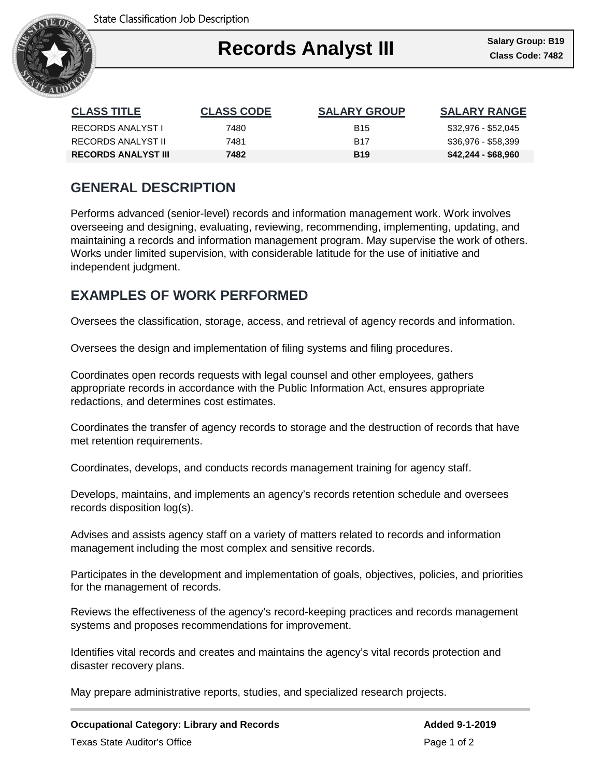

#### Ι **Records Analyst III**

| <b>CLASS TITLE</b>         | <b>CLASS CODE</b> | <b>SALARY GROUP</b> | <b>SALARY RANGE</b> |
|----------------------------|-------------------|---------------------|---------------------|
| RECORDS ANALYST I          | 7480              | B <sub>15</sub>     | \$32,976 - \$52,045 |
| RECORDS ANALYST II         | 7481              | <b>B17</b>          | \$36,976 - \$58,399 |
| <b>RECORDS ANALYST III</b> | 7482              | <b>B</b> 19         | \$42,244 - \$68,960 |

# **GENERAL DESCRIPTION**

Performs advanced (senior-level) records and information management work. Work involves overseeing and designing, evaluating, reviewing, recommending, implementing, updating, and maintaining a records and information management program. May supervise the work of others. Works under limited supervision, with considerable latitude for the use of initiative and independent judgment.

### **EXAMPLES OF WORK PERFORMED**

Oversees the classification, storage, access, and retrieval of agency records and information.

Oversees the design and implementation of filing systems and filing procedures.

Coordinates open records requests with legal counsel and other employees, gathers appropriate records in accordance with the Public Information Act, ensures appropriate redactions, and determines cost estimates.

Coordinates the transfer of agency records to storage and the destruction of records that have met retention requirements.

Coordinates, develops, and conducts records management training for agency staff.

Develops, maintains, and implements an agency's records retention schedule and oversees records disposition log(s).

Advises and assists agency staff on a variety of matters related to records and information management including the most complex and sensitive records.

Participates in the development and implementation of goals, objectives, policies, and priorities for the management of records.

Reviews the effectiveness of the agency's record-keeping practices and records management systems and proposes recommendations for improvement.

Identifies vital records and creates and maintains the agency's vital records protection and disaster recovery plans.

May prepare administrative reports, studies, and specialized research projects.